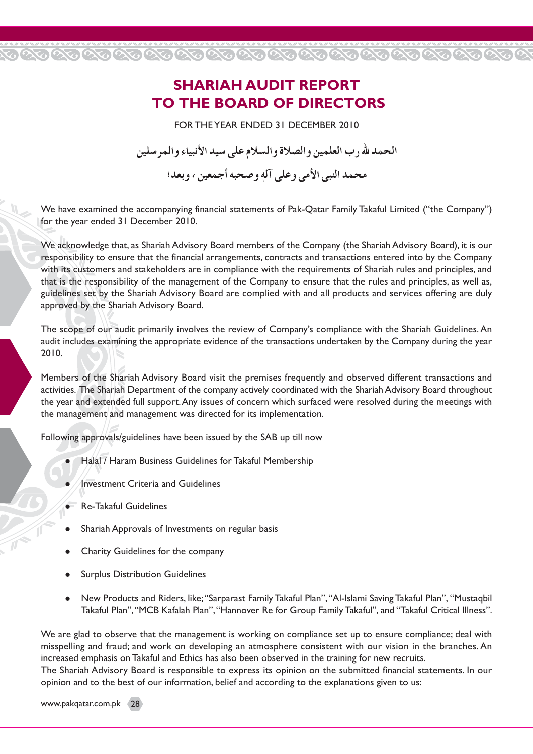## **SHARIAH AUDIT REPORT TO THE BOARD OF DIRECTORS**

20202020202020202020202020202020202020

FOR THE YEAR ENDED 31 DECEMBER 2010

الحمد لله رب العلمين و الصلاة و السلام على سيد الأنبياء و المر سلين

محمد النبي الأمي وعلى آله وصحبه أجمعين ، وبعد؛

We have examined the accompanying financial statements of Pak-Qatar Family Takaful Limited ("the Company") for the year ended 31 December 2010.

We acknowledge that, as Shariah Advisory Board members of the Company (the Shariah Advisory Board), it is our responsibility to ensure that the financial arrangements, contracts and transactions entered into by the Company with its customers and stakeholders are in compliance with the requirements of Shariah rules and principles, and that is the responsibility of the management of the Company to ensure that the rules and principles, as well as, guidelines set by the Shariah Advisory Board are complied with and all products and services offering are duly approved by the Shariah Advisory Board.

The scope of our audit primarily involves the review of Company's compliance with the Shariah Guidelines. An audit includes examining the appropriate evidence of the transactions undertaken by the Company during the year 2010.

Members of the Shariah Advisory Board visit the premises frequently and observed different transactions and activities. The Shariah Department of the company actively coordinated with the Shariah Advisory Board throughout the year and extended full support. Any issues of concern which surfaced were resolved during the meetings with the management and management was directed for its implementation.

Following approvals/guidelines have been issued by the SAB up till now

- Halal / Haram Business Guidelines for Takaful Membership
- Investment Criteria and Guidelines
- **Re-Takaful Guidelines**
- Shariah Approvals of Investments on regular basis
- Charity Guidelines for the company
- **Surplus Distribution Guidelines**
- New Products and Riders, like; "Sarparast Family Takaful Plan", "Al-Islami Saving Takaful Plan", "Mustaqbil Takaful Plan", "MCB Kafalah Plan", "Hannover Re for Group Family Takaful", and "Takaful Critical Illness".

We are glad to observe that the management is working on compliance set up to ensure compliance; deal with misspelling and fraud; and work on developing an atmosphere consistent with our vision in the branches. An increased emphasis on Takaful and Ethics has also been observed in the training for new recruits.

The Shariah Advisory Board is responsible to express its opinion on the submitted financial statements. In our opinion and to the best of our information, belief and according to the explanations given to us:

www.pakqatar.com.pk (28)